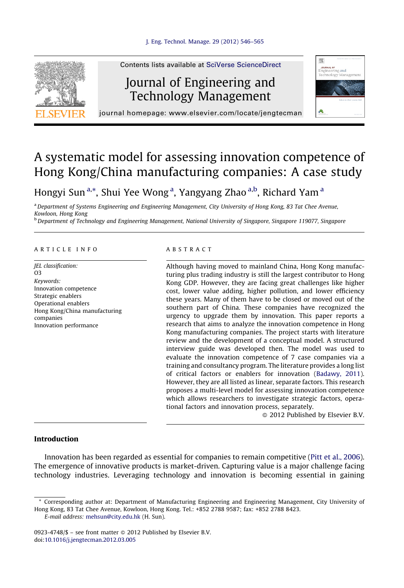

Contents lists available at SciVerse [ScienceDirect](http://www.sciencedirect.com/science/journal/09234748)

## Journal of Engineering and Technology Management



journal homepage: www.elsevier.com/locate/jengtecman

## A systematic model for assessing innovation competence of Hong Kong/China manufacturing companies: A case study

Hongyi Sun<sup>a,\*</sup>, Shui Yee Wong<sup>a</sup>, Yangyang Zhao<sup>a,b</sup>, Richard Yam<sup>a</sup>

<sup>a</sup> Department of Systems Engineering and Engineering Management, City University of Hong Kong, 83 Tat Chee Avenue, Kowloon, Hong Kong

<sup>b</sup> Department of Technology and Engineering Management, National University of Singapore, Singapore 119077, Singapore

### A R T I C L E I N F O

JEL classification: O3 Keywords: Innovation competence Strategic enablers Operational enablers Hong Kong/China manufacturing companies Innovation performance

#### A B S T R A C T

Although having moved to mainland China, Hong Kong manufacturing plus trading industry is still the largest contributor to Hong Kong GDP. However, they are facing great challenges like higher cost, lower value adding, higher pollution, and lower efficiency these years. Many of them have to be closed or moved out of the southern part of China. These companies have recognized the urgency to upgrade them by innovation. This paper reports a research that aims to analyze the innovation competence in Hong Kong manufacturing companies. The project starts with literature review and the development of a conceptual model. A structured interview guide was developed then. The model was used to evaluate the innovation competence of 7 case companies via a training and consultancy program. The literature provides a long list of critical factors or enablers for innovation ([Badawy,](#page--1-0) 2011). However, they are all listed as linear, separate factors. This research proposes a multi-level model for assessing innovation competence which allows researchers to investigate strategic factors, operational factors and innovation process, separately.

- 2012 Published by Elsevier B.V.

### Introduction

Innovation has been regarded as essential for companies to remain competitive (Pitt et al., [2006](#page--1-0)). The emergence of innovative products is market-driven. Capturing value is a major challenge facing technology industries. Leveraging technology and innovation is becoming essential in gaining

<sup>\*</sup> Corresponding author at: Department of Manufacturing Engineering and Engineering Management, City University of Hong Kong, 83 Tat Chee Avenue, Kowloon, Hong Kong. Tel.: +852 2788 9587; fax: +852 2788 8423. E-mail address: [mehsun@city.edu.hk](mailto:mehsun@city.edu.hk) (H. Sun).

<sup>0923-4748/\$ –</sup> see front matter © 2012 Published by Elsevier B.V.

doi:[10.1016/j.jengtecman.2012.03.005](http://dx.doi.org/10.1016/j.jengtecman.2012.03.005)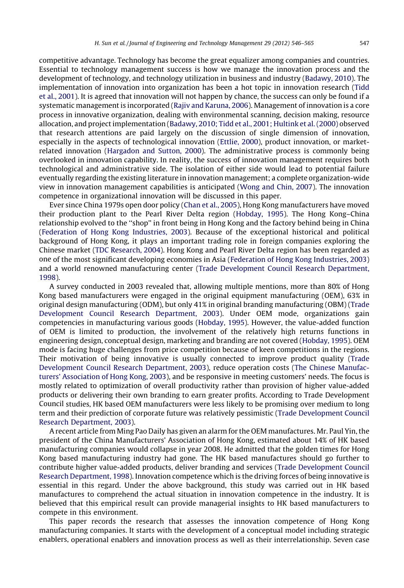competitive advantage. Technology has become the great equalizer among companies and countries. Essential to technology management success is how we manage the innovation process and the development of technology, and technology utilization in business and industry ([Badawy,](#page--1-0) 2010). The implementation of innovation into organization has been a hot topic in innovation research ([Tidd](#page--1-0) et al., [2001\)](#page--1-0). It is agreed that innovation will not happen by chance, the success can only be found if a systematic managementis incorporated (Rajiv and [Karuna,](#page--1-0) 2006). Management of innovation is a core process in innovative organization, dealing with environmental scanning, decision making, resource allocation, and projectimplementation (Badawy, 2010; Tidd et al., 2001; Hultink et [al.\(2000\)](#page--1-0) observed that research attentions are paid largely on the discussion of single dimension of innovation, especially in the aspects of technological innovation ([Ettlie,](#page--1-0) 2000), product innovation, or marketrelated innovation [\(Hargadon](#page--1-0) and Sutton, 2000). The administrative process is commonly being overlooked in innovation capability. In reality, the success of innovation management requires both technological and administrative side. The isolation of either side would lead to potential failure eventually regarding the existing literature in innovation management; a complete organization-wide view in innovation management capabilities is anticipated [\(Wong](#page--1-0) and Chin, 2007). The innovation competence in organizational innovation will be discussed in this paper.

Ever since China 1979s open door policy (Chan et al., [2005\)](#page--1-0), Hong Kong manufacturers have moved their production plant to the Pearl River Delta region [\(Hobday,](#page--1-0) 1995). The Hong Kong–China relationship evolved to the ''shop'' in front being in Hong Kong and the factory behind being in China [\(Federation](#page--1-0) of Hong Kong Industries, 2003). Because of the exceptional historical and political background of Hong Kong, it plays an important trading role in foreign companies exploring the Chinese market (TDC [Research,](#page--1-0) 2004). Hong Kong and Pearl River Delta region has been regarded as one of the most significant developing economies in Asia ([Federation](#page--1-0) of Hong Kong Industries, 2003) and a world renowned manufacturing center (Trade [Development](#page--1-0) Council Research Department, [1998\)](#page--1-0).

A survey conducted in 2003 revealed that, allowing multiple mentions, more than 80% of Hong Kong based manufacturers were engaged in the original equipment manufacturing (OEM), 63% in original design manufacturing (ODM), but only 41% in original branding manufacturing (OBM) [\(Trade](#page--1-0) [Development](#page--1-0) Council Research Department, 2003). Under OEM mode, organizations gain competencies in manufacturing various goods ([Hobday,](#page--1-0) 1995). However, the value-added function of OEM is limited to production, the involvement of the relatively high returns functions in engineering design, conceptual design, marketing and branding are not covered [\(Hobday,](#page--1-0) 1995). OEM mode is facing huge challenges from price competition because of keen competitions in the regions. Their motivation of being innovative is usually connected to improve product quality [\(Trade](#page--1-0) [Development](#page--1-0) Council Research Department, 2003), reduce operation costs (The Chinese [Manufac](#page--1-0)turers' [Association](#page--1-0) of Hong Kong, 2003), and be responsive in meeting customers' needs. The focus is mostly related to optimization of overall productivity rather than provision of higher value-added products or delivering their own branding to earn greater profits. According to Trade Development Council studies, HK based OEM manufacturers were less likely to be promising over medium to long term and their prediction of corporate future was relatively pessimistic (Trade [Development](#page--1-0) Council Research [Department,](#page--1-0) 2003).

A recent article from Ming Pao Daily has given an alarm for the OEM manufactures. Mr. Paul Yin,the president of the China Manufacturers' Association of Hong Kong, estimated about 14% of HK based manufacturing companies would collapse in year 2008. He admitted that the golden times for Hong Kong based manufacturing industry had gone. The HK based manufactures should go further to contribute higher value-added products, deliver branding and services (Trade [Development](#page--1-0) Council Research [Department,](#page--1-0) 1998). Innovation competence which is the driving forces of being innovative is essential in this regard. Under the above background, this study was carried out in HK based manufactures to comprehend the actual situation in innovation competence in the industry. It is believed that this empirical result can provide managerial insights to HK based manufacturers to compete in this environment.

This paper records the research that assesses the innovation competence of Hong Kong manufacturing companies. It starts with the development of a conceptual model including strategic enablers, operational enablers and innovation process as well as their interrelationship. Seven case